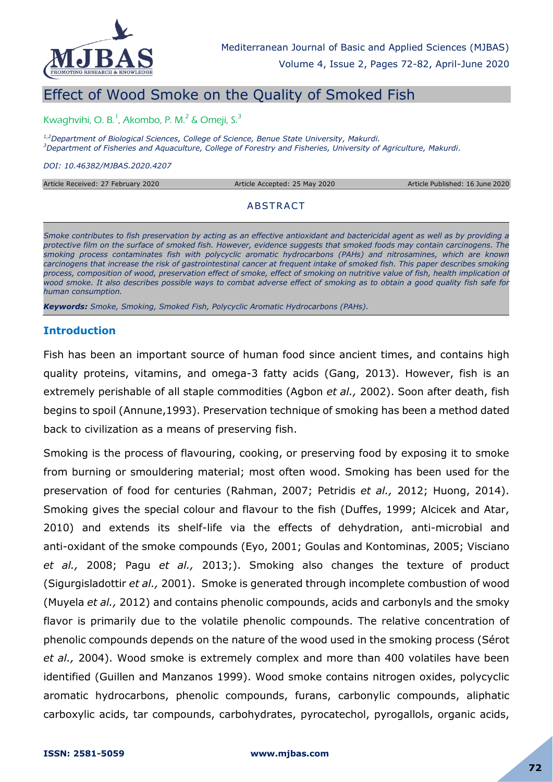

# Effect of Wood Smoke on the Quality of Smoked Fish

Kwaghvihi, O. B.<sup>1</sup>, Akombo, P. M.<sup>2</sup> & Omeji, S.<sup>3</sup>

*1,2Department of Biological Sciences, College of Science, Benue State University, Makurdi. <sup>3</sup>Department of Fisheries and Aquaculture, College of Forestry and Fisheries, University of Agriculture, Makurdi.*

*DOI: 10.46382/MJBAS.2020.4207*

| Article Received: 27 February 2020 | Article Accepted: 25 May 2020 | Article Published: 16 June 2020 |
|------------------------------------|-------------------------------|---------------------------------|
|                                    |                               |                                 |
|                                    | ABSTRACT                      |                                 |

*Smoke contributes to fish preservation by acting as an effective antioxidant and bactericidal agent as well as by providing a protective film on the surface of smoked fish. However, evidence suggests that smoked foods may contain carcinogens. The smoking process contaminates fish with polycyclic aromatic hydrocarbons (PAHs) and nitrosamines, which are known carcinogens that increase the risk of gastrointestinal cancer at frequent intake of smoked fish. This paper describes smoking*  process, composition of wood, preservation effect of smoke, effect of smoking on nutritive value of fish, health implication of *wood smoke. It also describes possible ways to combat adverse effect of smoking as to obtain a good quality fish safe for human consumption.*

*Keywords: Smoke, Smoking, Smoked Fish, Polycyclic Aromatic Hydrocarbons (PAHs).*

#### **Introduction**

Fish has been an important source of human food since ancient times, and contains high quality proteins, vitamins, and omega-3 fatty acids (Gang, 2013). However, fish is an extremely perishable of all staple commodities (Agbon *et al.,* 2002). Soon after death, fish begins to spoil (Annune,1993). Preservation technique of smoking has been a method dated back to civilization as a means of preserving fish.

Smoking is the process of flavouring, cooking, or preserving food by exposing it to smoke from burning or smouldering material; most often wood. Smoking has been used for the preservation of food for centuries (Rahman, 2007; Petridis *et al.,* 2012; Huong, 2014). Smoking gives the special colour and flavour to the fish (Duffes, 1999; Alcicek and Atar, 2010) and extends its shelf-life via the effects of dehydration, anti-microbial and anti-oxidant of the smoke compounds (Eyo, 2001; Goulas and Kontominas, 2005; Visciano *et al.,* 2008; Pagu *et al.,* 2013;). Smoking also changes the texture of product (Sigurgisladottir *et al.,* 2001). Smoke is generated through incomplete combustion of wood (Muyela *et al.,* 2012) and contains phenolic compounds, acids and carbonyls and the smoky flavor is primarily due to the volatile phenolic compounds. The relative concentration of phenolic compounds depends on the nature of the wood used in the smoking process (Sérot *et al.,* 2004). Wood smoke is extremely complex and more than 400 volatiles have been identified (Guillen and Manzanos 1999). Wood smoke contains nitrogen oxides, polycyclic aromatic hydrocarbons, phenolic compounds, furans, carbonylic compounds, aliphatic carboxylic acids, tar compounds, carbohydrates, pyrocatechol, pyrogallols, organic acids,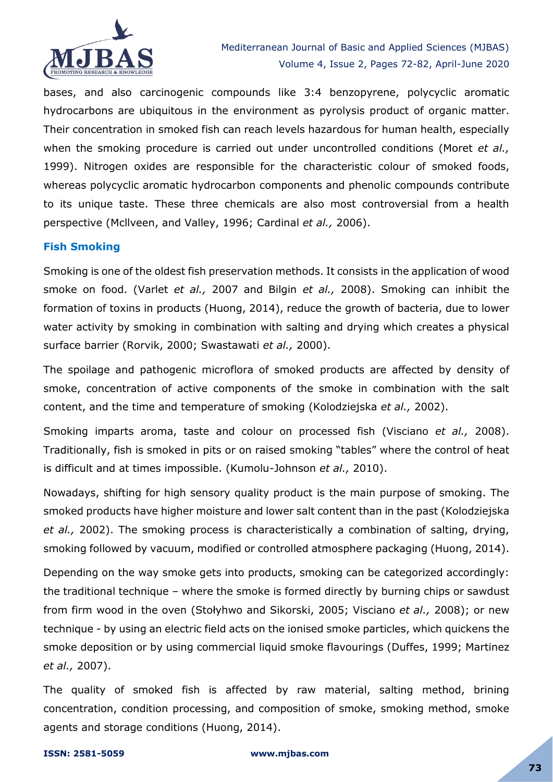

bases, and also carcinogenic compounds like 3:4 benzopyrene, polycyclic aromatic hydrocarbons are ubiquitous in the environment as pyrolysis product of organic matter. Their concentration in smoked fish can reach levels hazardous for human health, especially when the smoking procedure is carried out under uncontrolled conditions (Moret *et al.,* 1999). Nitrogen oxides are responsible for the characteristic colour of smoked foods, whereas polycyclic aromatic hydrocarbon components and phenolic compounds contribute to its unique taste. These three chemicals are also most controversial from a health perspective (Mcllveen, and Valley, 1996; Cardinal *et al.,* 2006).

# **Fish Smoking**

Smoking is one of the oldest fish preservation methods. It consists in the application of wood smoke on food. (Varlet *et al.,* 2007 and Bilgin *et al.,* 2008). Smoking can inhibit the formation of toxins in products (Huong, 2014), reduce the growth of bacteria, due to lower water activity by smoking in combination with salting and drying which creates a physical surface barrier (Rorvik, 2000; Swastawati *et al.,* 2000).

The spoilage and pathogenic microflora of smoked products are affected by density of smoke, concentration of active components of the smoke in combination with the salt content, and the time and temperature of smoking (Kolodziejska *et al.,* 2002).

Smoking imparts aroma, taste and colour on processed fish (Visciano *et al.,* 2008). Traditionally, fish is smoked in pits or on raised smoking "tables" where the control of heat is difficult and at times impossible. (Kumolu-Johnson *et al.,* 2010).

Nowadays, shifting for high sensory quality product is the main purpose of smoking. The smoked products have higher moisture and lower salt content than in the past (Kolodziejska *et al.,* 2002). The smoking process is characteristically a combination of salting, drying, smoking followed by vacuum, modified or controlled atmosphere packaging (Huong, 2014).

Depending on the way smoke gets into products, smoking can be categorized accordingly: the traditional technique – where the smoke is formed directly by burning chips or sawdust from firm wood in the oven (Stołyhwo and Sikorski, 2005; Visciano *et al.,* 2008); or new technique - by using an electric field acts on the ionised smoke particles, which quickens the smoke deposition or by using commercial liquid smoke flavourings (Duffes, 1999; Martinez *et al.,* 2007).

The quality of smoked fish is affected by raw material, salting method, brining concentration, condition processing, and composition of smoke, smoking method, smoke agents and storage conditions (Huong, 2014).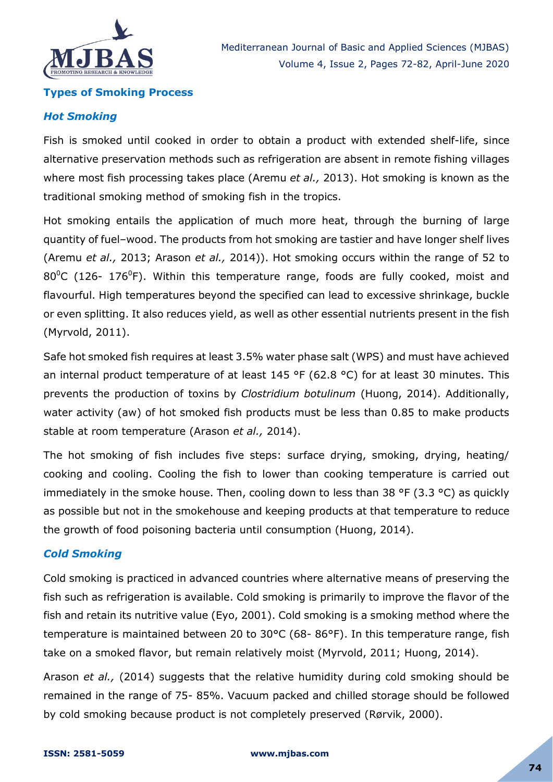

#### **Types of Smoking Process**

#### *Hot Smoking*

Fish is smoked until cooked in order to obtain a product with extended shelf-life, since alternative preservation methods such as refrigeration are absent in remote fishing villages where most fish processing takes place (Aremu *et al.,* 2013). Hot smoking is known as the traditional smoking method of smoking fish in the tropics.

Hot smoking entails the application of much more heat, through the burning of large quantity of fuel–wood. The products from hot smoking are tastier and have longer shelf lives (Aremu *et al.,* 2013; Arason *et al.,* 2014)). Hot smoking occurs within the range of 52 to  $80^{\circ}$ C (126- 176<sup>°</sup>F). Within this temperature range, foods are fully cooked, moist and flavourful. High temperatures beyond the specified can lead to excessive shrinkage, buckle or even splitting. It also reduces yield, as well as other essential nutrients present in the fish (Myrvold, 2011).

Safe hot smoked fish requires at least 3.5% water phase salt (WPS) and must have achieved an internal product temperature of at least 145 °F (62.8 °C) for at least 30 minutes. This prevents the production of toxins by *Clostridium botulinum* (Huong, 2014). Additionally, water activity (aw) of hot smoked fish products must be less than 0.85 to make products stable at room temperature (Arason *et al.,* 2014).

The hot smoking of fish includes five steps: surface drying, smoking, drying, heating/ cooking and cooling. Cooling the fish to lower than cooking temperature is carried out immediately in the smoke house. Then, cooling down to less than 38 °F (3.3 °C) as quickly as possible but not in the smokehouse and keeping products at that temperature to reduce the growth of food poisoning bacteria until consumption (Huong, 2014).

## *Cold Smoking*

Cold smoking is practiced in advanced countries where alternative means of preserving the fish such as refrigeration is available. Cold smoking is primarily to improve the flavor of the fish and retain its nutritive value (Eyo, 2001). Cold smoking is a smoking method where the temperature is maintained between 20 to 30°C (68- 86°F). In this temperature range, fish take on a smoked flavor, but remain relatively moist (Myrvold, 2011; Huong, 2014).

Arason *et al.,* (2014) suggests that the relative humidity during cold smoking should be remained in the range of 75- 85%. Vacuum packed and chilled storage should be followed by cold smoking because product is not completely preserved (Rørvik, 2000).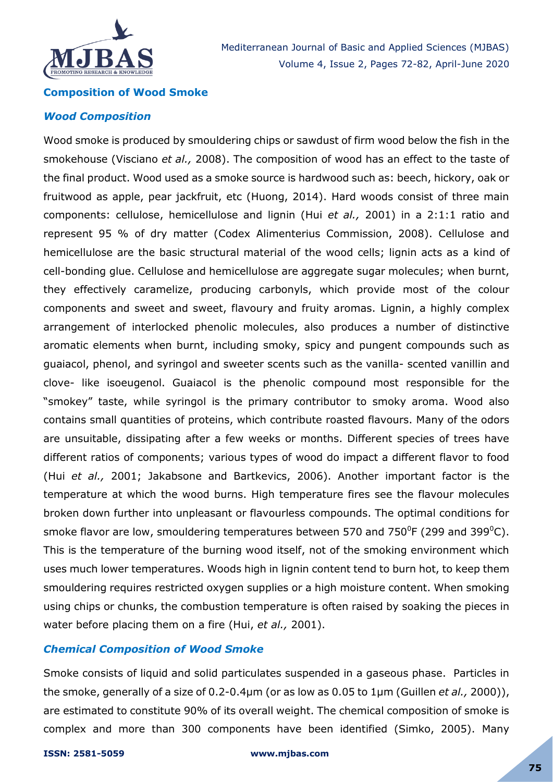

Mediterranean Journal of Basic and Applied Sciences (MJBAS) Volume 4, Issue 2, Pages 72-82, April-June 2020

#### **Composition of Wood Smoke**

#### *Wood Composition*

Wood smoke is produced by smouldering chips or sawdust of firm wood below the fish in the smokehouse (Visciano *et al.,* 2008). The composition of wood has an effect to the taste of the final product. Wood used as a smoke source is hardwood such as: beech, hickory, oak or fruitwood as apple, pear jackfruit, etc (Huong, 2014). Hard woods consist of three main components: cellulose, hemicellulose and lignin (Hui *et al.,* 2001) in a 2:1:1 ratio and represent 95 % of dry matter (Codex Alimenterius Commission, 2008). Cellulose and hemicellulose are the basic structural material of the wood cells; lignin acts as a kind of cell-bonding glue. Cellulose and hemicellulose are aggregate sugar molecules; when burnt, they effectively caramelize, producing carbonyls, which provide most of the colour components and sweet and sweet, flavoury and fruity aromas. Lignin, a highly complex arrangement of interlocked phenolic molecules, also produces a number of distinctive aromatic elements when burnt, including smoky, spicy and pungent compounds such as guaiacol, phenol, and syringol and sweeter scents such as the vanilla- scented vanillin and clove- like isoeugenol. Guaiacol is the phenolic compound most responsible for the "smokey" taste, while syringol is the primary contributor to smoky aroma. Wood also contains small quantities of proteins, which contribute roasted flavours. Many of the odors are unsuitable, dissipating after a few weeks or months. Different species of trees have different ratios of components; various types of wood do impact a different flavor to food (Hui *et al.,* 2001; Jakabsone and Bartkevics, 2006). Another important factor is the temperature at which the wood burns. High temperature fires see the flavour molecules broken down further into unpleasant or flavourless compounds. The optimal conditions for smoke flavor are low, smouldering temperatures between 570 and 750<sup>0</sup>F (299 and 399<sup>0</sup>C). This is the temperature of the burning wood itself, not of the smoking environment which uses much lower temperatures. Woods high in lignin content tend to burn hot, to keep them smouldering requires restricted oxygen supplies or a high moisture content. When smoking using chips or chunks, the combustion temperature is often raised by soaking the pieces in water before placing them on a fire (Hui, *et al.,* 2001).

#### *Chemical Composition of Wood Smoke*

Smoke consists of liquid and solid particulates suspended in a gaseous phase. Particles in the smoke, generally of a size of 0.2-0.4μm (or as low as 0.05 to 1µm (Guillen *et al.,* 2000)), are estimated to constitute 90% of its overall weight. The chemical composition of smoke is complex and more than 300 components have been identified (Simko, 2005). Many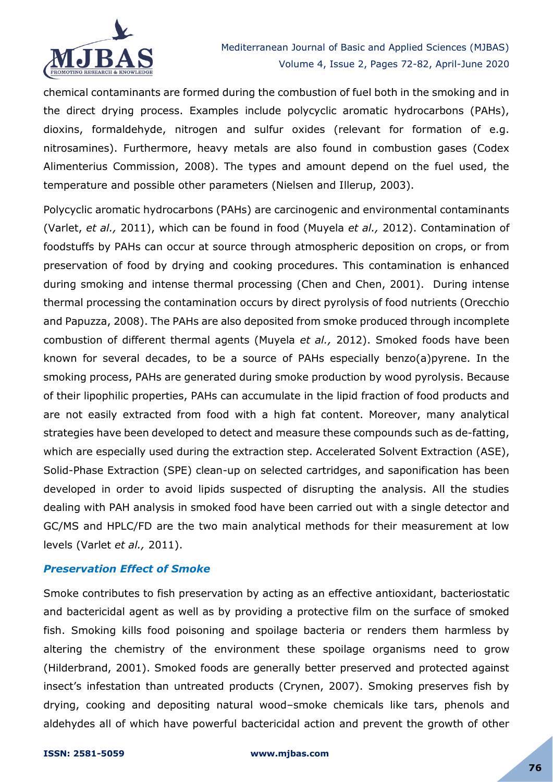

chemical contaminants are formed during the combustion of fuel both in the smoking and in the direct drying process. Examples include polycyclic aromatic hydrocarbons (PAHs), dioxins, formaldehyde, nitrogen and sulfur oxides (relevant for formation of e.g. nitrosamines). Furthermore, heavy metals are also found in combustion gases (Codex Alimenterius Commission, 2008). The types and amount depend on the fuel used, the temperature and possible other parameters (Nielsen and Illerup, 2003).

Polycyclic aromatic hydrocarbons (PAHs) are carcinogenic and environmental contaminants (Varlet, *et al.,* 2011), which can be found in food (Muyela *et al.,* 2012). Contamination of foodstuffs by PAHs can occur at source through atmospheric deposition on crops, or from preservation of food by drying and cooking procedures. This contamination is enhanced during smoking and intense thermal processing (Chen and Chen, 2001). During intense thermal processing the contamination occurs by direct pyrolysis of food nutrients (Orecchio and Papuzza, 2008). The PAHs are also deposited from smoke produced through incomplete combustion of different thermal agents (Muyela *et al.,* 2012). Smoked foods have been known for several decades, to be a source of PAHs especially benzo(a)pyrene. In the smoking process, PAHs are generated during smoke production by wood pyrolysis. Because of their lipophilic properties, PAHs can accumulate in the lipid fraction of food products and are not easily extracted from food with a high fat content. Moreover, many analytical strategies have been developed to detect and measure these compounds such as de-fatting, which are especially used during the extraction step. Accelerated Solvent Extraction (ASE), Solid-Phase Extraction (SPE) clean-up on selected cartridges, and saponification has been developed in order to avoid lipids suspected of disrupting the analysis. All the studies dealing with PAH analysis in smoked food have been carried out with a single detector and GC/MS and HPLC/FD are the two main analytical methods for their measurement at low levels (Varlet *et al.,* 2011).

## *Preservation Effect of Smoke*

Smoke contributes to fish preservation by acting as an effective antioxidant, bacteriostatic and bactericidal agent as well as by providing a protective film on the surface of smoked fish. Smoking kills food poisoning and spoilage bacteria or renders them harmless by altering the chemistry of the environment these spoilage organisms need to grow (Hilderbrand, 2001). Smoked foods are generally better preserved and protected against insect's infestation than untreated products (Crynen, 2007). Smoking preserves fish by drying, cooking and depositing natural wood–smoke chemicals like tars, phenols and aldehydes all of which have powerful bactericidal action and prevent the growth of other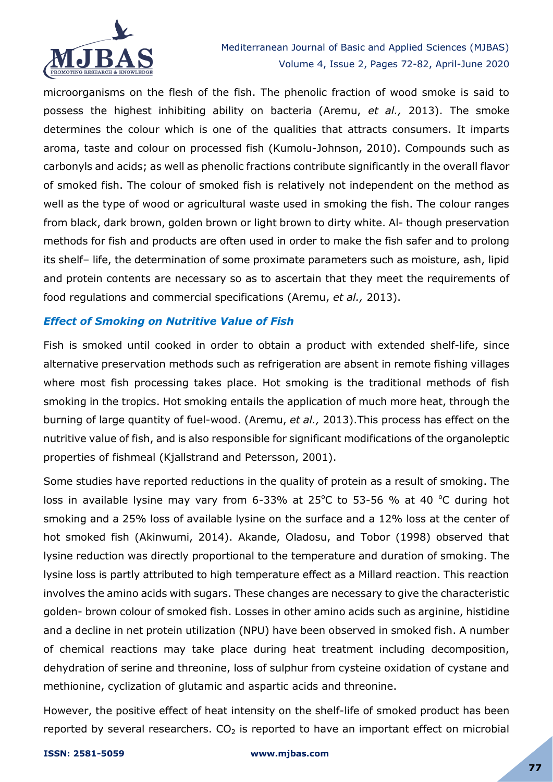

microorganisms on the flesh of the fish. The phenolic fraction of wood smoke is said to possess the highest inhibiting ability on bacteria (Aremu, *et al.,* 2013). The smoke determines the colour which is one of the qualities that attracts consumers. It imparts aroma, taste and colour on processed fish (Kumolu-Johnson, 2010). Compounds such as carbonyls and acids; as well as phenolic fractions contribute significantly in the overall flavor of smoked fish. The colour of smoked fish is relatively not independent on the method as well as the type of wood or agricultural waste used in smoking the fish. The colour ranges from black, dark brown, golden brown or light brown to dirty white. Al- though preservation methods for fish and products are often used in order to make the fish safer and to prolong its shelf– life, the determination of some proximate parameters such as moisture, ash, lipid and protein contents are necessary so as to ascertain that they meet the requirements of food regulations and commercial specifications (Aremu, *et al.,* 2013).

# *Effect of Smoking on Nutritive Value of Fish*

Fish is smoked until cooked in order to obtain a product with extended shelf-life, since alternative preservation methods such as refrigeration are absent in remote fishing villages where most fish processing takes place. Hot smoking is the traditional methods of fish smoking in the tropics. Hot smoking entails the application of much more heat, through the burning of large quantity of fuel-wood. (Aremu, *et al.,* 2013).This process has effect on the nutritive value of fish, and is also responsible for significant modifications of the organoleptic properties of fishmeal (Kjallstrand and Petersson, 2001).

Some studies have reported reductions in the quality of protein as a result of smoking. The loss in available lysine may vary from 6-33% at 25 $^{\circ}$ C to 53-56 % at 40  $^{\circ}$ C during hot smoking and a 25% loss of available lysine on the surface and a 12% loss at the center of hot smoked fish (Akinwumi, 2014). Akande, Oladosu, and Tobor (1998) observed that lysine reduction was directly proportional to the temperature and duration of smoking. The lysine loss is partly attributed to high temperature effect as a Millard reaction. This reaction involves the amino acids with sugars. These changes are necessary to give the characteristic golden- brown colour of smoked fish. Losses in other amino acids such as arginine, histidine and a decline in net protein utilization (NPU) have been observed in smoked fish. A number of chemical reactions may take place during heat treatment including decomposition, dehydration of serine and threonine, loss of sulphur from cysteine oxidation of cystane and methionine, cyclization of glutamic and aspartic acids and threonine.

However, the positive effect of heat intensity on the shelf-life of smoked product has been reported by several researchers.  $CO<sub>2</sub>$  is reported to have an important effect on microbial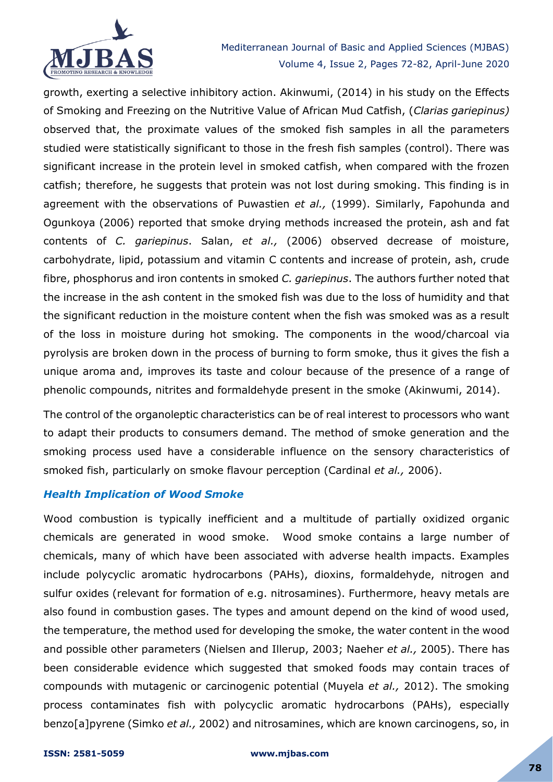

growth, exerting a selective inhibitory action. Akinwumi, (2014) in his study on the Effects of Smoking and Freezing on the Nutritive Value of African Mud Catfish, (*Clarias gariepinus)* observed that, the proximate values of the smoked fish samples in all the parameters studied were statistically significant to those in the fresh fish samples (control). There was significant increase in the protein level in smoked catfish, when compared with the frozen catfish; therefore, he suggests that protein was not lost during smoking. This finding is in agreement with the observations of Puwastien *et al.,* (1999). Similarly, Fapohunda and Ogunkoya (2006) reported that smoke drying methods increased the protein, ash and fat contents of *C. gariepinus*. Salan, *et al.,* (2006) observed decrease of moisture, carbohydrate, lipid, potassium and vitamin C contents and increase of protein, ash, crude fibre, phosphorus and iron contents in smoked *C. gariepinus*. The authors further noted that the increase in the ash content in the smoked fish was due to the loss of humidity and that the significant reduction in the moisture content when the fish was smoked was as a result of the loss in moisture during hot smoking. The components in the wood/charcoal via pyrolysis are broken down in the process of burning to form smoke, thus it gives the fish a unique aroma and, improves its taste and colour because of the presence of a range of phenolic compounds, nitrites and formaldehyde present in the smoke (Akinwumi, 2014).

The control of the organoleptic characteristics can be of real interest to processors who want to adapt their products to consumers demand. The method of smoke generation and the smoking process used have a considerable influence on the sensory characteristics of smoked fish, particularly on smoke flavour perception (Cardinal *et al.,* 2006).

## *Health Implication of Wood Smoke*

Wood combustion is typically inefficient and a multitude of partially oxidized organic chemicals are generated in wood smoke. Wood smoke contains a large number of chemicals, many of which have been associated with adverse health impacts. Examples include polycyclic aromatic hydrocarbons (PAHs), dioxins, formaldehyde, nitrogen and sulfur oxides (relevant for formation of e.g. nitrosamines). Furthermore, heavy metals are also found in combustion gases. The types and amount depend on the kind of wood used, the temperature, the method used for developing the smoke, the water content in the wood and possible other parameters (Nielsen and Illerup, 2003; Naeher *et al.,* 2005). There has been considerable evidence which suggested that smoked foods may contain traces of compounds with mutagenic or carcinogenic potential (Muyela *et al.,* 2012). The smoking process contaminates fish with polycyclic aromatic hydrocarbons (PAHs), especially benzo[a]pyrene (Simko *et al.,* 2002) and nitrosamines, which are known carcinogens, so, in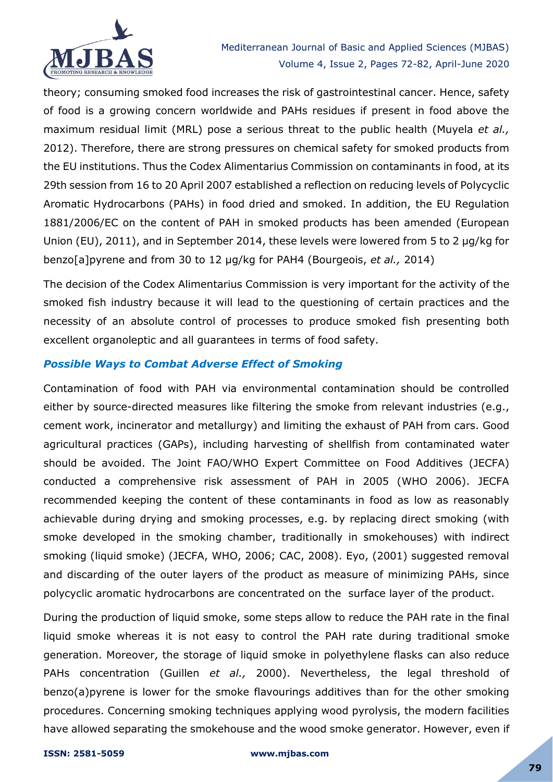

theory; consuming smoked food increases the risk of gastrointestinal cancer. Hence, safety of food is a growing concern worldwide and PAHs residues if present in food above the maximum residual limit (MRL) pose a serious threat to the public health (Muyela *et al.,* 2012). Therefore, there are strong pressures on chemical safety for smoked products from the EU institutions. Thus the Codex Alimentarius Commission on contaminants in food, at its 29th session from 16 to 20 April 2007 established a reflection on reducing levels of Polycyclic Aromatic Hydrocarbons (PAHs) in food dried and smoked. In addition, the EU Regulation 1881/2006/EC on the content of PAH in smoked products has been amended (European Union (EU), 2011), and in September 2014, these levels were lowered from 5 to 2 µg/kg for benzo[a]pyrene and from 30 to 12 µg/kg for PAH4 (Bourgeois, *et al.,* 2014)

The decision of the Codex Alimentarius Commission is very important for the activity of the smoked fish industry because it will lead to the questioning of certain practices and the necessity of an absolute control of processes to produce smoked fish presenting both excellent organoleptic and all guarantees in terms of food safety.

# *Possible Ways to Combat Adverse Effect of Smoking*

Contamination of food with PAH via environmental contamination should be controlled either by source-directed measures like filtering the smoke from relevant industries (e.g., cement work, incinerator and metallurgy) and limiting the exhaust of PAH from cars. Good agricultural practices (GAPs), including harvesting of shellfish from contaminated water should be avoided. The Joint FAO/WHO Expert Committee on Food Additives (JECFA) conducted a comprehensive risk assessment of PAH in 2005 (WHO 2006). JECFA recommended keeping the content of these contaminants in food as low as reasonably achievable during drying and smoking processes, e.g. by replacing direct smoking (with smoke developed in the smoking chamber, traditionally in smokehouses) with indirect smoking (liquid smoke) (JECFA, WHO, 2006; CAC, 2008). Eyo, (2001) suggested removal and discarding of the outer layers of the product as measure of minimizing PAHs, since polycyclic aromatic hydrocarbons are concentrated on the surface layer of the product.

During the production of liquid smoke, some steps allow to reduce the PAH rate in the final liquid smoke whereas it is not easy to control the PAH rate during traditional smoke generation. Moreover, the storage of liquid smoke in polyethylene flasks can also reduce PAHs concentration (Guillen *et al.,* 2000). Nevertheless, the legal threshold of benzo(a)pyrene is lower for the smoke flavourings additives than for the other smoking procedures. Concerning smoking techniques applying wood pyrolysis, the modern facilities have allowed separating the smokehouse and the wood smoke generator. However, even if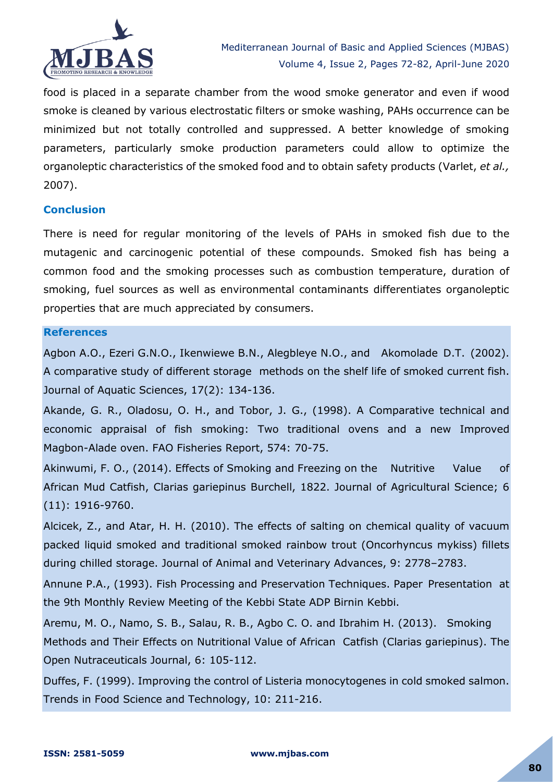

food is placed in a separate chamber from the wood smoke generator and even if wood smoke is cleaned by various electrostatic filters or smoke washing, PAHs occurrence can be minimized but not totally controlled and suppressed. A better knowledge of smoking parameters, particularly smoke production parameters could allow to optimize the organoleptic characteristics of the smoked food and to obtain safety products (Varlet, *et al.,* 2007).

## **Conclusion**

There is need for regular monitoring of the levels of PAHs in smoked fish due to the mutagenic and carcinogenic potential of these compounds. Smoked fish has being a common food and the smoking processes such as combustion temperature, duration of smoking, fuel sources as well as environmental contaminants differentiates organoleptic properties that are much appreciated by consumers.

## **References**

Agbon A.O., Ezeri G.N.O., Ikenwiewe B.N., Alegbleye N.O., and Akomolade D.T. (2002). A comparative study of different storage methods on the shelf life of smoked current fish. Journal of Aquatic Sciences, 17(2): 134-136.

Akande, G. R., Oladosu, O. H., and Tobor, J. G., (1998). A Comparative technical and economic appraisal of fish smoking: Two traditional ovens and a new Improved Magbon-Alade oven. FAO Fisheries Report, 574: 70-75.

Akinwumi, F. O., (2014). Effects of Smoking and Freezing on the Nutritive Value of African Mud Catfish, Clarias gariepinus Burchell, 1822. Journal of Agricultural Science; 6 (11): 1916-9760.

Alcicek, Z., and Atar, H. H. (2010). The effects of salting on chemical quality of vacuum packed liquid smoked and traditional smoked rainbow trout (Oncorhyncus mykiss) fillets during chilled storage. Journal of Animal and Veterinary Advances, 9: 2778–2783.

Annune P.A., (1993). Fish Processing and Preservation Techniques. Paper Presentation at the 9th Monthly Review Meeting of the Kebbi State ADP Birnin Kebbi.

Aremu, M. O., Namo, S. B., Salau, R. B., Agbo C. O. and Ibrahim H. (2013). Smoking Methods and Their Effects on Nutritional Value of African Catfish (Clarias gariepinus). The Open Nutraceuticals Journal, 6: 105-112.

Duffes, F. (1999). Improving the control of Listeria monocytogenes in cold smoked salmon. Trends in Food Science and Technology, 10: 211-216.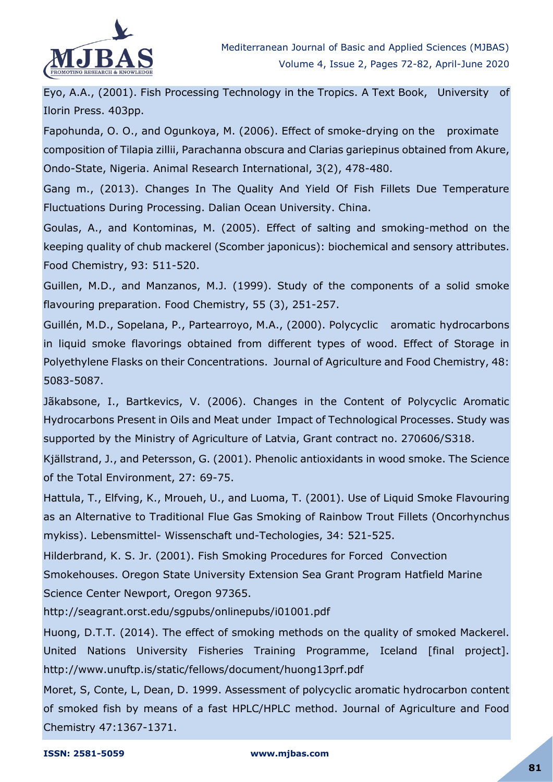

Eyo, A.A., (2001). Fish Processing Technology in the Tropics. A Text Book, University of Ilorin Press. 403pp.

Fapohunda, O. O., and Ogunkoya, M. (2006). Effect of smoke-drying on the proximate composition of Tilapia zillii, Parachanna obscura and Clarias gariepinus obtained from Akure, Ondo-State, Nigeria. Animal Research International, 3(2), 478-480.

Gang m., (2013). Changes In The Quality And Yield Of Fish Fillets Due Temperature Fluctuations During Processing. Dalian Ocean University. China.

Goulas, A., and Kontominas, M. (2005). Effect of salting and smoking-method on the keeping quality of chub mackerel (Scomber japonicus): biochemical and sensory attributes. Food Chemistry, 93: 511-520.

Guillen, M.D., and Manzanos, M.J. (1999). Study of the components of a solid smoke flavouring preparation. Food Chemistry, 55 (3), 251-257.

Guillén, M.D., Sopelana, P., Partearroyo, M.A., (2000). Polycyclic aromatic hydrocarbons in liquid smoke flavorings obtained from different types of wood. Effect of Storage in Polyethylene Flasks on their Concentrations. Journal of Agriculture and Food Chemistry, 48: 5083-5087.

Jãkabsone, I., Bartkevics, V. (2006). Changes in the Content of Polycyclic Aromatic Hydrocarbons Present in Oils and Meat under Impact of Technological Processes. Study was supported by the Ministry of Agriculture of Latvia, Grant contract no. 270606/S318.

Kjällstrand, J., and Petersson, G. (2001). Phenolic antioxidants in wood smoke. The Science of the Total Environment, 27: 69-75.

Hattula, T., Elfving, K., Mroueh, U., and Luoma, T. (2001). Use of Liquid Smoke Flavouring as an Alternative to Traditional Flue Gas Smoking of Rainbow Trout Fillets (Oncorhynchus mykiss). Lebensmittel- Wissenschaft und-Techologies, 34: 521-525.

Hilderbrand, K. S. Jr. (2001). Fish Smoking Procedures for Forced Convection Smokehouses. Oregon State University Extension Sea Grant Program Hatfield Marine Science Center Newport, Oregon 97365.

http://seagrant.orst.edu/sgpubs/onlinepubs/i01001.pdf

Huong, D.T.T. (2014). The effect of smoking methods on the quality of smoked Mackerel. United Nations University Fisheries Training Programme, Iceland [final project]. http://www.unuftp.is/static/fellows/document/huong13prf.pdf

Moret, S, Conte, L, Dean, D. 1999. Assessment of polycyclic aromatic hydrocarbon content of smoked fish by means of a fast HPLC/HPLC method. Journal of Agriculture and Food Chemistry 47:1367-1371.